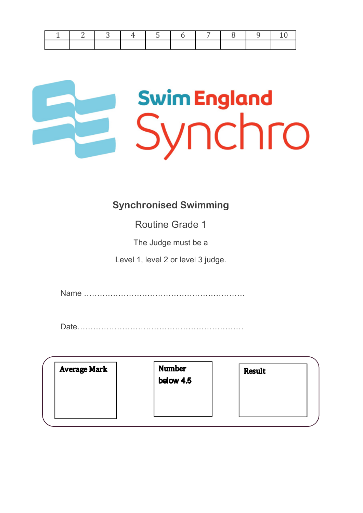|  |  |  | 1 3 4 5 6 7 8 9 10 |  |
|--|--|--|--------------------|--|
|  |  |  |                    |  |

# **Swim England** Synchro

#### **Synchronised Swimming**

Routine Grade 1

The Judge must be a

Level 1, level 2 or level 3 judge.

Name …………………………………………………….

Date………………………………………………………

| <b>Average Mark</b> | <b>Number</b><br>below 4.5 | <b>Result</b> |  |
|---------------------|----------------------------|---------------|--|
|                     |                            |               |  |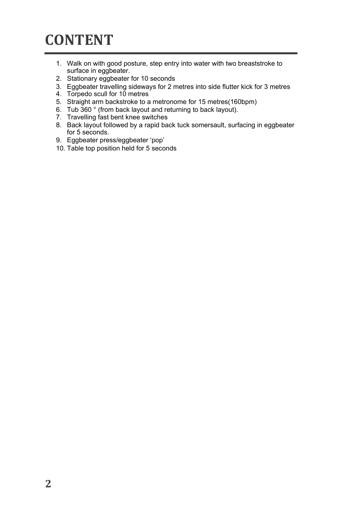### **CONTENT**

- 1. Walk on with good posture, step entry into water with two breaststroke to surface in eggbeater.
- 2. Stationary eggbeater for 10 seconds
- 3. Eggbeater travelling sideways for 2 metres into side flutter kick for 3 metres
- 4. Torpedo scull for 10 metres
- 5. Straight arm backstroke to a metronome for 15 metres(160bpm)
- 6. Tub 360 ° (from back layout and returning to back layout).
- 7. Travelling fast bent knee switches
- 8. Back layout followed by a rapid back tuck somersault, surfacing in eggbeater for 5 seconds.
- 9. Eggbeater press/eggbeater 'pop'
- 10. Table top position held for 5 seconds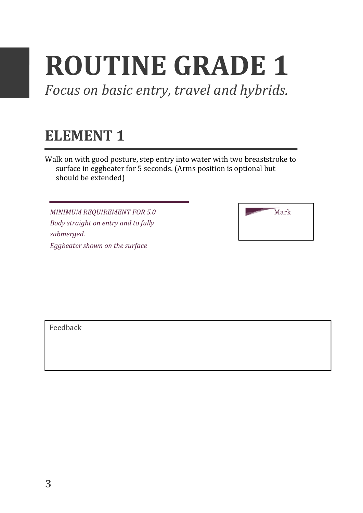## **ROUTINE GRADE 1**

Focus on basic entry, travel and hybrids.

#### **ELEMENT 1**

Walk on with good posture, step entry into water with two breaststroke to surface in eggbeater for 5 seconds. (Arms position is optional but should be extended)

**MINIMUM REQUIREMENT FOR 5.0** *Body straight on entry and to fully submerged. Eggbeater shown on the surface* 

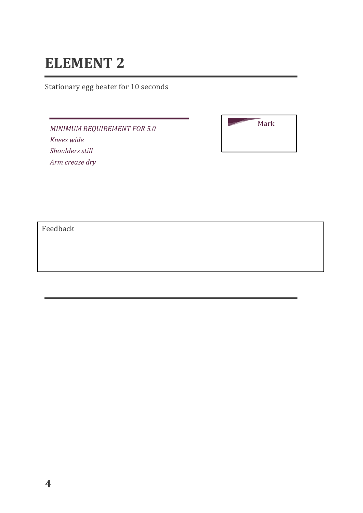Stationary egg beater for 10 seconds

*MINIMUM REQUIREMENT FOR 5.0 Knees wide Shoulders still Arm crease dry* 

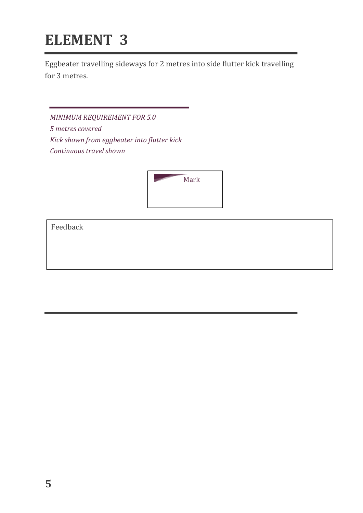Eggbeater travelling sideways for 2 metres into side flutter kick travelling for 3 metres.

*MINIMUM REQUIREMENT FOR 5.0 5 metres covered Kick shown from eggbeater into flutter kick Continuous travel shown*

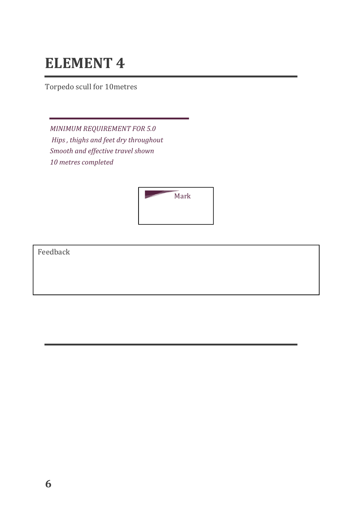Torpedo scull for 10metres

*MINIMUM REQUIREMENT FOR 5.0* Hips, thighs and feet dry throughout *Smooth and effective travel shown 10 metres completed* 

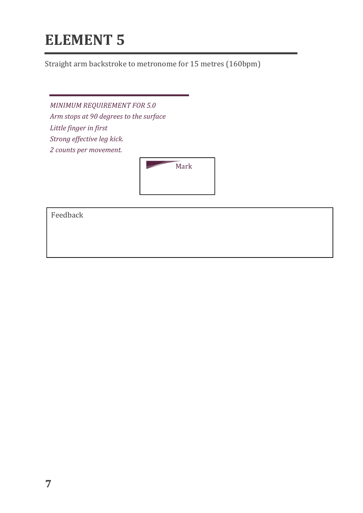Straight arm backstroke to metronome for 15 metres (160bpm)

*MINIMUM REQUIREMENT FOR 5.0* Arm stops at 90 degrees to the surface Little finger in first *Strong effective leg kick. 2 counts per movement.*

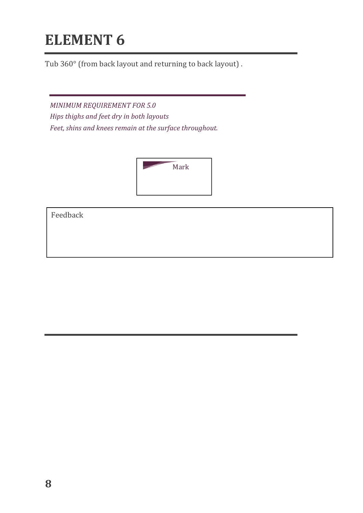Tub 360° (from back layout and returning to back layout).

**MINIMUM REQUIREMENT FOR 5.0** *Hips thighs and feet dry in both layouts* Feet, shins and knees remain at the surface throughout.

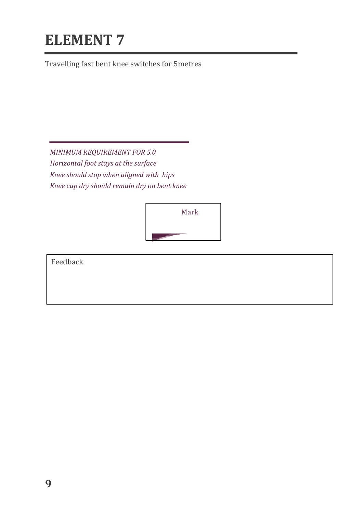Travelling fast bent knee switches for 5metres

*MINIMUM REQUIREMENT FOR 5.0 Horizontal foot stays at the surface Knee* should stop when aligned with hips *Knee cap dry should remain dry on bent knee*

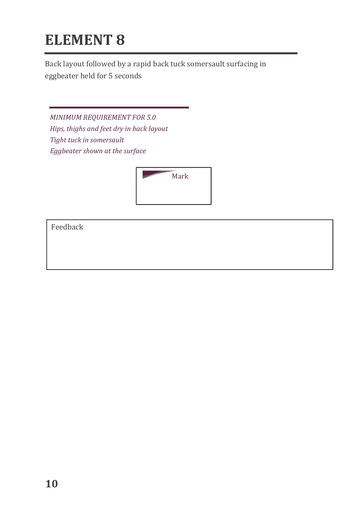Back layout followed by a rapid back tuck somersault surfacing in eggbeater held for 5 seconds

*MINIMUM REQUIREMENT FOR 5.0* Hips, thighs and feet dry in back layout Tight tuck in somersault *Eggbeater shown at the surface* 

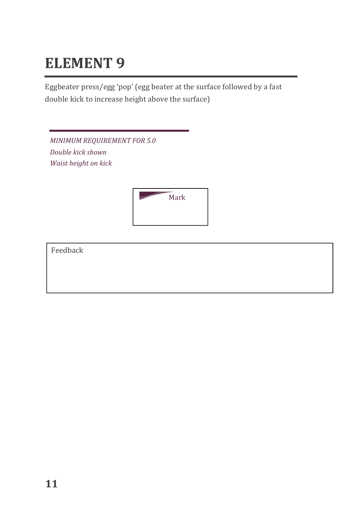Eggbeater press/egg 'pop' (egg beater at the surface followed by a fast double kick to increase height above the surface)

**MINIMUM REQUIREMENT FOR 5.0** *Double kick shown Waist height on kick*